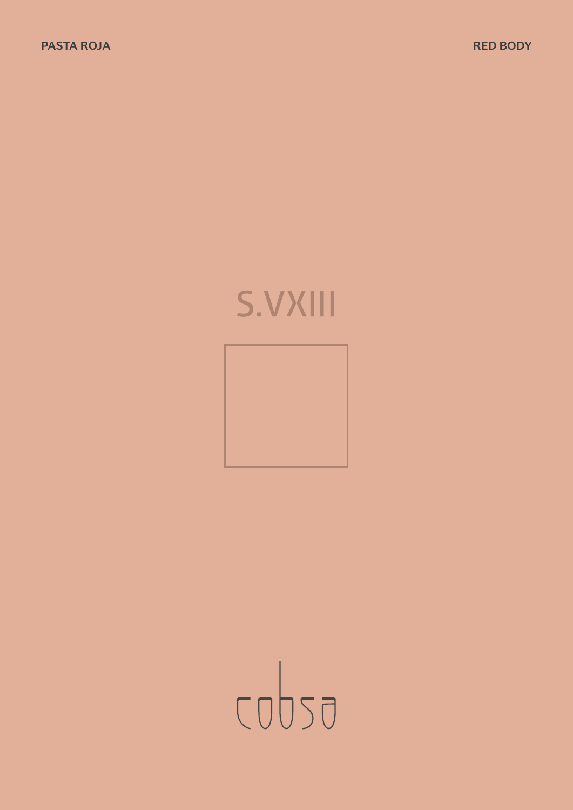# S.VXIII



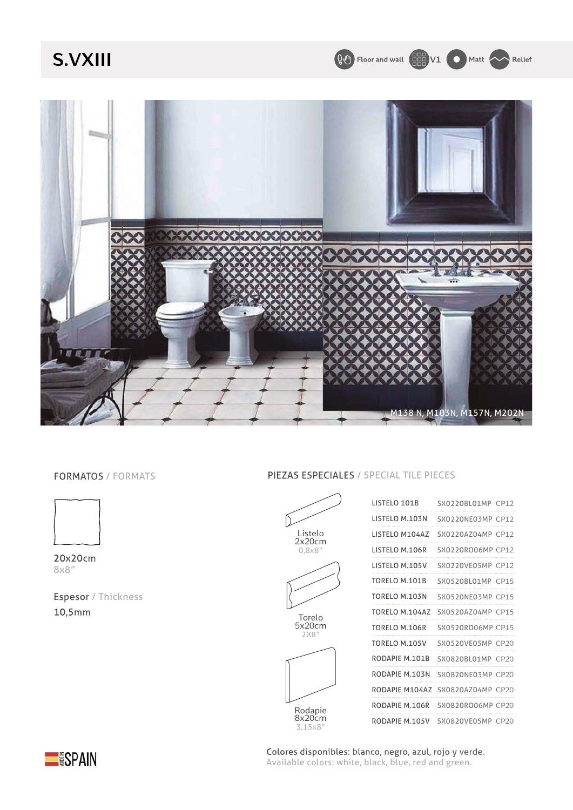### **S.VXIII**

Q<sup>4</sup> Floor and wall **CHAD** V1 **O** Matt **A** Relief



#### FORMATOS / FORMATS



20x20cm 8x8"

Espesor / Thickness 10,5mm

#### PIEZAS ESPECIALES / SPECIAL TILE PIECES



Rodapie 8x20cm 3,15x8"



LISTELO 101B SX0220BL01MP CP12



Colores disponibles: blanco, negro, azul, rojo y verde. Available colors: white, black, blue, red and green.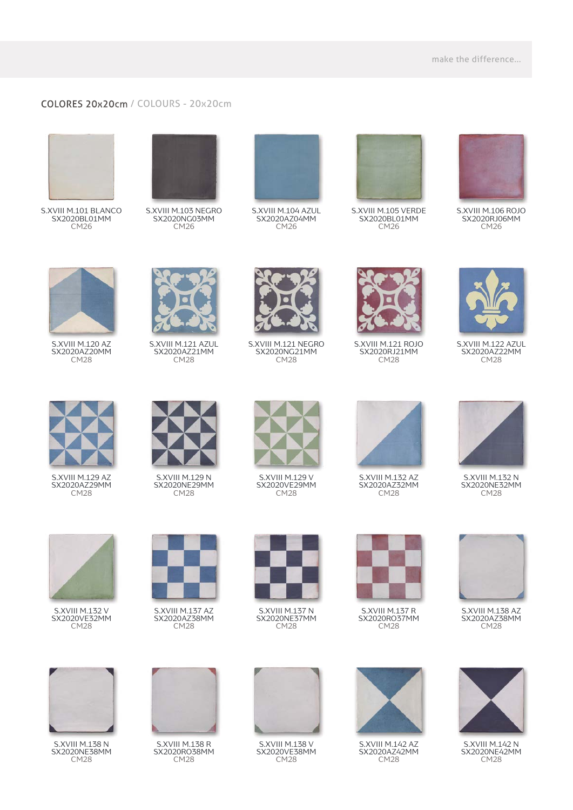#### COLORES 20x20cm / COLOURS - 20x20cm



S.XVIII M.101 BLANCO SX2020BL01MM CM26



S.XVIII M.103 NEGRO SX2020NG03MM CM26



S.XVIII M.104 AZUL SX2020AZ04MM CM26



S.XVIII M.105 VERDE SX2020BL01MM CM26



S.XVIII M.106 ROJO SX2020RJ06MM CM<sub>26</sub>



S.XVIII M.120 AZ SX2020AZ20MM CM<sub>28</sub>



S.XVIII M.129 AZ SX2020AZ29MM CM<sub>28</sub>



S.XVIII M.121 AZUL SX2020AZ21MM CM<sub>28</sub>



S.XVIII M.129 N SX2020NE29MM CM<sub>28</sub>



S.XVIII M.121 NEGRO SX2020NG21MM CM<sub>28</sub>



SX2020VE29MM CM<sub>28</sub>



S.XVIII M.121 ROJO SX2020RJ21MM CM<sub>28</sub>



S.XVIII M.122 AZUL SX2020AZ22MM CM<sub>28</sub>



S.XVIII M.132 N SX2020NE32MM CM<sub>28</sub>



S.XVIII M.132 V SX2020VE32MM CM<sub>28</sub>



S.XVIII M.137 AZ SX2020AZ38MM CM<sub>28</sub>



S.XVIII M.137 N SX2020NE37MM CM<sub>28</sub>



S.XVIII M.137 R SX2020RO37MM CM<sub>28</sub>



S.XVIII M.138 AZ SX2020AZ38MM CM<sub>28</sub>



S.XVIII M.138 N SX2020NE38MM CM<sub>28</sub>



S.XVIII M.138 R SX2020RO38MM CM28



S.XVIII M.138 V SX2020VE38MM CM<sub>28</sub>



S.XVIII M.142 AZ SX2020AZ42MM CM<sub>28</sub>



S.XVIII M.142 N SX2020NE42MM CM<sub>28</sub>



S.XVIII M.129 V



S.XVIII M.132 AZ SX2020AZ32MM CM28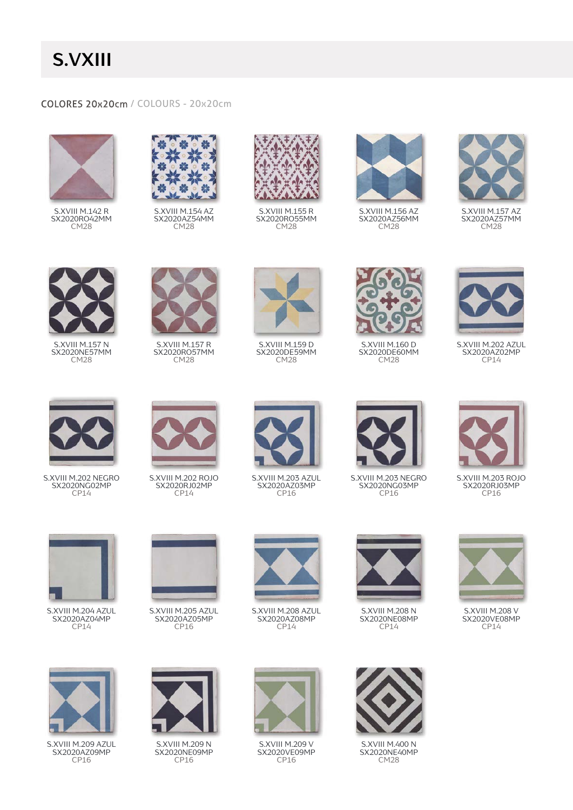## **S.VXIII**

#### COLORES 20x20cm / COLOURS - 20x20cm



S.XVIII M.142 R SX2020RO42MM CM<sub>28</sub>



S.XVIII M.154 AZ SX2020AZ54MM CM<sub>28</sub>



S.XVIII M.155 R SX2020RO55MM CM<sub>28</sub>



S.XVIII M.156 AZ SX2020AZ56MM CM<sub>28</sub>



S.XVIII M.157 AZ SX2020AZ57MM CM<sub>28</sub>



S.XVIII M.157 N SX2020NE57MM CM<sub>28</sub>



S.XVIII M.157 R SX2020RO57MM CM<sub>28</sub>



S.XVIII M.159 D SX2020DE59MM CM<sub>28</sub>



S.XVIII M.160 D SX2020DE60MM CM<sub>28</sub>



S.XVIII M.202 AZUL SX2020AZ02MP  $CP14$ 



S.XVIII M.202 NEGRO SX2020NG02MP CP14



S.XVIII M.202 ROJO SX2020RJ02MP CP14



S.XVIII M.203 AZUL SX2020AZ03MP CP16



S.XVIII M.203 NEGRO SX2020NG03MP CP16



S.XVIII M.203 ROJO SX2020RJ03MP CP16



S.XVIII M.204 AZUL SX2020AZ04MP CP<sub>14</sub>



S.XVIII M.205 AZUL SX2020AZ05MP CP<sub>16</sub>



S.XVIII M.208 AZUL SX2020AZ08MP CP14



S.XVIII M.208 N SX2020NE08MP CP<sub>14</sub>



S.XVIII M.208 V SX2020VE08MP CP<sub>14</sub>



SX2020AZ09MP CP16



S.XVIII M.209 N SX2020NE09MP CP16



S.XVIII M.209 V SX2020VE09MP CP16



S.XVIII M.400 N SX2020NE40MP CM28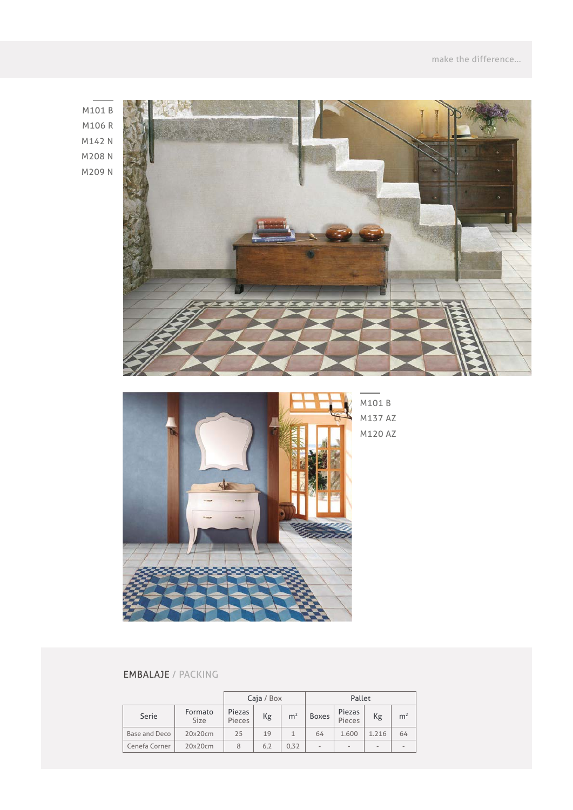M101 B M106 R M142 N M208 N M209 N





#### EMBALAJE / PACKING

|               |                 | Caja / Box       |     |                | Pallet            |                          |                          |                |
|---------------|-----------------|------------------|-----|----------------|-------------------|--------------------------|--------------------------|----------------|
| Serie         | Formato<br>Size | Piezas<br>Pieces | Kg  | m <sup>2</sup> | <b>Boxes</b>      | Piezas<br>Pieces         | Кg                       | m <sup>2</sup> |
| Base and Deco | 20x20cm         | 25               | 19  |                | 64                | 1.600                    | 1.216                    | 64             |
| Cenefa Corner | 20x20cm         | 8                | 6.2 | 0.32           | $\qquad \qquad -$ | $\overline{\phantom{a}}$ | $\overline{\phantom{a}}$ |                |